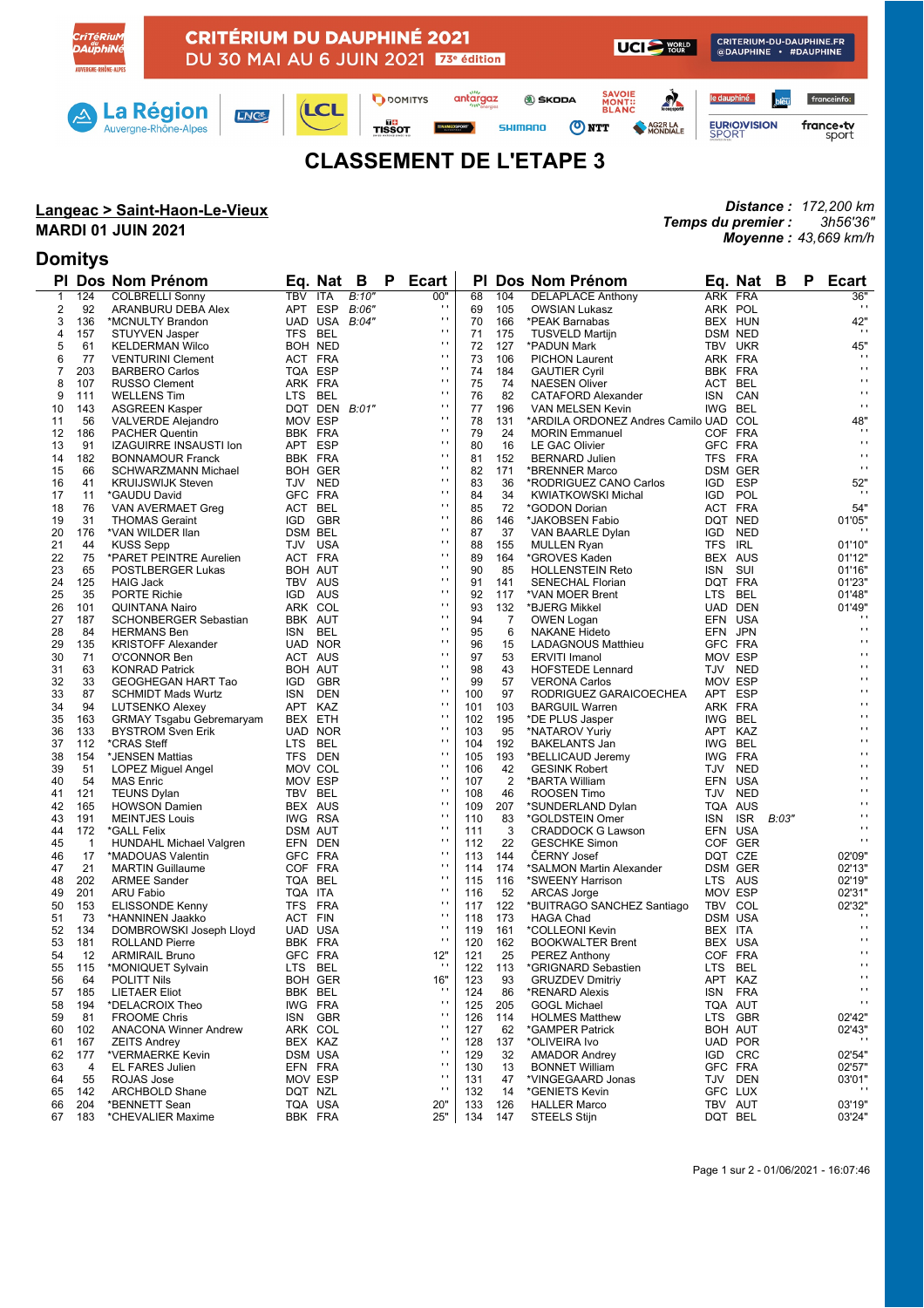

# **CLASSEMENT DE L'ETAPE 3**

## **Langeac > Saint-Haon-Le-Vieux**

#### **MARDI 01 JUIN 2021**

### **Domitys**

*Distance : 172,200 km Temps du premier : Moyenne : 43,669 km/h 3h56'36"*

| ΡI           |                | Dos Nom Prénom                                      |                | Eq. Nat       | B     | Ρ | <b>Ecart</b>   | ΡI  |                | Dos Nom Prénom                        | Eq.        | Nat            | B     | P | <b>Ecart</b>      |
|--------------|----------------|-----------------------------------------------------|----------------|---------------|-------|---|----------------|-----|----------------|---------------------------------------|------------|----------------|-------|---|-------------------|
| $\mathbf{1}$ | 124            | <b>COLBRELLI Sonny</b>                              | TBV ITA        |               | B:10" |   | 00"            | 68  | 104            | <b>DELAPLACE Anthony</b>              | ARK FRA    |                |       |   | 36"               |
| 2            | 92             | ARANBURU DEBA Alex                                  | APT ESP        |               | B:06" |   | $\blacksquare$ | 69  | 105            | <b>OWSIAN Lukasz</b>                  | ARK POL    |                |       |   | $\mathbf{r}$      |
| 3            | 136            | *MCNULTY Brandon                                    |                | UAD USA B:04" |       |   | $\blacksquare$ | 70  | 166            | *PEAK Barnabas                        |            | BEX HUN        |       |   | 42"               |
| 4            | 157            | <b>STUYVEN Jasper</b>                               | TFS BEL        |               |       |   | $\mathbf{r}$   | 71  | 175            | <b>TUSVELD Martijn</b>                |            | <b>DSM NED</b> |       |   | $\sim$            |
| 5            | 61             | <b>KELDERMAN Wilco</b>                              | BOH NED        |               |       |   | $\mathbf{r}$   | 72  | 127            | *PADUN Mark                           |            | TBV UKR        |       |   | 45"               |
| 6            | 77             | <b>VENTURINI Clement</b>                            | ACT FRA        |               |       |   | $\blacksquare$ | 73  | 106            | <b>PICHON Laurent</b>                 | ARK FRA    |                |       |   | $\mathbf{r}$ .    |
| 7            | 203            | <b>BARBERO Carlos</b>                               | TQA ESP        |               |       |   | $\mathbf{r}$   | 74  | 184            | <b>GAUTIER Cyril</b>                  | BBK FRA    |                |       |   | $\mathbf{r}$ .    |
| 8            | 107            | <b>RUSSO Clement</b>                                | ARK FRA        |               |       |   | $\mathbf{r}$   | 75  | 74             | <b>NAESEN Oliver</b>                  | ACT BEL    |                |       |   | $\mathbf{r}$      |
| 9            | 111            | <b>WELLENS Tim</b>                                  | LTS BEL        |               |       |   | $\blacksquare$ | 76  | 82             | CATAFORD Alexander                    | ISN        | CAN            |       |   | $\mathbf{r}$      |
| 10           | 143            | <b>ASGREEN Kasper</b>                               |                | DQT DEN B:01" |       |   | $\mathbf{r}$   | 77  | 196            | VAN MELSEN Kevin                      | IWG BEL    |                |       |   | $\mathbf{r}$ .    |
| 11           | 56             | <b>VALVERDE Alejandro</b>                           | MOV ESP        |               |       |   | $\mathbf{r}$   | 78  | 131            | *ARDILA ORDONEZ Andres Camilo UAD COL |            |                |       |   | 48"               |
| 12           | 186            | <b>PACHER Quentin</b>                               | BBK FRA        |               |       |   | $\blacksquare$ | 79  | 24             | <b>MORIN Emmanuel</b>                 | COF FRA    |                |       |   | $\cdot$           |
| 13           | 91             | IZAGUIRRE INSAUSTI Ion                              | APT ESP        |               |       |   | $\mathbf{r}$   | 80  | 16             | <b>LE GAC Olivier</b>                 | GFC FRA    |                |       |   | $\mathbf{r}$ .    |
| 14           | 182            | <b>BONNAMOUR Franck</b>                             | BBK FRA        |               |       |   | $\mathbf{r}$   | 81  | 152            | <b>BERNARD Julien</b>                 | TFS FRA    |                |       |   | $\mathbf{r}$      |
| 15           | 66             | SCHWARZMANN Michael                                 | <b>BOH GER</b> |               |       |   | $\blacksquare$ | 82  | 171            | *BRENNER Marco                        |            | <b>DSM GER</b> |       |   | $\mathbf{r}$ .    |
| 16           | 41             | <b>KRUIJSWIJK Steven</b>                            | TJV NED        |               |       |   | $\mathbf{r}$   | 83  | 36             | *RODRIGUEZ CANO Carlos                | IGD ESP    |                |       |   | 52"               |
| 17           | 11             |                                                     | GFC FRA        |               |       |   | $\mathbf{r}$   | 84  | 34             | <b>KWIATKOWSKI Michal</b>             | IGD.       | POL            |       |   | $\cdot$           |
| 18           |                | *GAUDU David                                        | ACT BEL        |               |       |   | $\blacksquare$ | 85  | 72             | *GODON Dorian                         | ACT FRA    |                |       |   | 54"               |
| 19           | 76<br>31       | VAN AVERMAET Greg                                   | IGD GBR        |               |       |   | $\mathbf{r}$   | 86  | 146            |                                       |            | DQT NED        |       |   | 01'05"            |
|              |                | <b>THOMAS Geraint</b>                               |                |               |       |   | $\mathbf{r}$   |     |                | *JAKOBSEN Fabio                       |            |                |       |   |                   |
| 20           | 176            | *VAN WILDER Ilan                                    | DSM BEL        |               |       |   | $\blacksquare$ | 87  | 37             | VAN BAARLE Dylan                      | <b>IGD</b> | <b>NED</b>     |       |   |                   |
| 21           | 44             | <b>KUSS Sepp</b>                                    | TJV USA        |               |       |   | $\mathbf{r}$   | 88  | 155            | <b>MULLEN Ryan</b>                    | TFS IRL    |                |       |   | 01'10"            |
| 22           | 75             | *PARET PEINTRE Aurelien                             | ACT FRA        |               |       |   | $\mathbf{r}$   | 89  | 164            | *GROVES Kaden                         | BEX AUS    |                |       |   | 01'12"            |
| 23           | 65             | POSTLBERGER Lukas                                   | BOH AUT        |               |       |   | $\blacksquare$ | 90  | 85             | <b>HOLLENSTEIN Reto</b>               | ISN        | SUI            |       |   | 01'16"            |
| 24           | 125            | <b>HAIG Jack</b>                                    | TBV AUS        |               |       |   | $\mathbf{r}$   | 91  | 141            | <b>SENECHAL Florian</b>               | DQT FRA    |                |       |   | 01'23"            |
| 25           | 35             | <b>PORTE Richie</b>                                 | IGD AUS        |               |       |   |                | 92  | 117            | *VAN MOER Brent                       | LTS BEL    |                |       |   | 01'48"            |
| 26           | 101            | <b>QUINTANA Nairo</b>                               | ARK COL        |               |       |   | $\mathbf{r}$   | 93  | 132            | *BJERG Mikkel                         |            | UAD DEN        |       |   | 01'49"            |
| 27           | 187            | <b>SCHONBERGER Sebastian</b>                        | BBK AUT        |               |       |   | $\blacksquare$ | 94  | 7              | OWEN Logan                            | EFN USA    |                |       |   | $\blacksquare$    |
| 28           | 84             | <b>HERMANS Ben</b>                                  | ISN BEL        |               |       |   | $\mathbf{r}$   | 95  | 6              | <b>NAKANE Hideto</b>                  | EFN JPN    |                |       |   | $\mathbf{r}$ .    |
| 29           | 135            | <b>KRISTOFF Alexander</b>                           | UAD NOR        |               |       |   | $\mathbf{r}$   | 96  | 15             | LADAGNOUS Matthieu                    | GFC FRA    |                |       |   | $\mathbf{r}$      |
| 30           | 71             | O'CONNOR Ben                                        | ACT AUS        |               |       |   | $\blacksquare$ | 97  | 53             | <b>ERVITI Imanol</b>                  | MOV ESP    |                |       |   | $\mathbf{r}$      |
| 31           | 63             | <b>KONRAD Patrick</b>                               | BOH AUT        |               |       |   | $\mathbf{r}$   | 98  | 43             | <b>HOFSTEDE Lennard</b>               |            | TJV NED        |       |   | $\mathbf{r}$      |
| 32           | 33             | GEOGHEGAN HART Tao                                  | IGD.           | GBR           |       |   | $\mathbf{r}$   | 99  | 57             | <b>VERONA Carlos</b>                  | MOV ESP    |                |       |   | $\mathbf{r}$      |
| 33           | 87             | <b>SCHMIDT Mads Wurtz</b>                           | ISN            | DEN           |       |   | $\blacksquare$ | 100 | 97             | RODRIGUEZ GARAICOECHEA                | APT ESP    |                |       |   | $\mathbf{r}$      |
| 34           | 94             | LUTSENKO Alexey                                     | APT KAZ        |               |       |   | $\mathbf{r}$   | 101 | 103            | <b>BARGUIL Warren</b>                 | ARK FRA    |                |       |   | $\mathbf{r}$      |
| 35           | 163            | <b>GRMAY Tsgabu Gebremaryam</b>                     | BEX ETH        |               |       |   | $\mathbf{r}$   | 102 | 195            | *DE PLUS Jasper                       | IWG BEL    |                |       |   | $\mathbf{r}$      |
| 36           | 133            | <b>BYSTROM Sven Erik</b>                            |                | UAD NOR       |       |   | $\blacksquare$ | 103 | 95             | *NATAROV Yuriy                        | APT KAZ    |                |       |   | $\mathbf{r}$      |
| 37           | 112            | *CRAS Steff                                         | LTS BEL        |               |       |   | $\mathbf{r}$   | 104 | 192            | <b>BAKELANTS Jan</b>                  | IWG BEL    |                |       |   | $\mathbf{r}$      |
| 38           | 154            | *JENSEN Mattias                                     | TFS DEN        |               |       |   | $\mathbf{r}$   | 105 | 193            | *BELLICAUD Jeremy                     | IWG FRA    |                |       |   | $\mathbf{r}$      |
| 39           | 51             | LOPEZ Miguel Angel                                  | MOV COL        |               |       |   | $\blacksquare$ | 106 | 42             | <b>GESINK Robert</b>                  |            | TJV NED        |       |   | $\mathbf{r}$      |
| 40           | 54             | <b>MAS Enric</b>                                    | MOV ESP        |               |       |   | $\mathbf{r}$   | 107 | $\overline{2}$ | *BARTA William                        | EFN USA    |                |       |   | $\mathbf{r}$      |
| 41           | 121            | <b>TEUNS Dylan</b>                                  | TBV BEL        |               |       |   | $\blacksquare$ | 108 | 46             | ROOSEN Timo                           |            | TJV NED        |       |   | $\mathbf{r}$      |
| 42           | 165            | <b>HOWSON Damien</b>                                | BEX AUS        |               |       |   | $\blacksquare$ | 109 | 207            | *SUNDERLAND Dylan                     | TQA AUS    |                |       |   | $\mathbf{r}$      |
| 43           | 191            | <b>MEINTJES Louis</b>                               | IWG RSA        |               |       |   | $\mathbf{r}$   | 110 | 83             | *GOLDSTEIN Omer                       | ISN        | <b>ISR</b>     | B:03" |   | $\mathbf{r}$      |
| 44           | 172            | *GALL Felix                                         | <b>DSM AUT</b> |               |       |   | $\mathbf{r}$   | 111 | 3              | CRADDOCK G Lawson                     | EFN USA    |                |       |   | $\mathbf{r}$      |
| 45           | $\overline{1}$ | HUNDAHL Michael Valgren                             | EFN DEN        |               |       |   | $\blacksquare$ | 112 | 22             | <b>GESCHKE Simon</b>                  |            | COF GER        |       |   | $\mathbf{r}$      |
| 46           | 17             | *MADOUAS Valentin                                   | GFC FRA        |               |       |   | $\mathbf{r}$   | 113 | 144            | <b>CERNY Josef</b>                    | DQT CZE    |                |       |   | 02'09"            |
| 47           | 21             | <b>MARTIN Guillaume</b>                             | COF FRA        |               |       |   | $\mathbf{r}$   | 114 | 174            | *SALMON Martin Alexander              |            | <b>DSM GER</b> |       |   | 02'13"            |
| 48           | 202            | <b>ARMEE Sander</b>                                 | TQA BEL        |               |       |   | $\blacksquare$ | 115 | 116            | *SWEENY Harrison                      |            | LTS AUS        |       |   | 02'19"            |
| 49           | 201            | <b>ARU Fabio</b>                                    | TQA ITA        |               |       |   | $\blacksquare$ | 116 | 52             | ARCAS Jorge                           | MOV ESP    |                |       |   | 02'31"            |
| 50           | 153            | <b>ELISSONDE Kenny</b>                              | TFS            | FRA           |       |   | $\mathbf{r}$   | 117 | 122            | *BUITRAGO SANCHEZ Santiago            | TBV COL    |                |       |   | 02'32"            |
| 51           | 73             | *HANNINEN Jaakko                                    | ACT FIN        |               |       |   | $\mathbf{r}$   | 118 | 173            | <b>HAGA Chad</b>                      |            | DSM USA        |       |   | $\blacksquare$    |
| 52           | 134            | DOMBROWSKI Joseph Lloyd                             | UAD USA        |               |       |   | $\mathbf{r}$   | 119 | 161            | *COLLEONI Kevin                       | BEX ITA    |                |       |   | $\mathbf{r}$ .    |
| 53           | 181            | <b>ROLLAND Pierre</b>                               | BBK FRA        |               |       |   | $\mathbf{r}$   | 120 | 162            | <b>BOOKWALTER Brent</b>               | BEX USA    |                |       |   | $\mathbf{r}$      |
| 54           | 12             | <b>ARMIRAIL Bruno</b>                               | GFC FRA        |               |       |   | 12"            | 121 | 25             | <b>PEREZ Anthony</b>                  | COF FRA    |                |       |   | $\mathbf{r}$      |
| 55           | 115            | *MONIQUET Sylvain                                   | LTS BEL        |               |       |   | $\blacksquare$ | 122 | 113            | *GRIGNARD Sebastien                   | LTS BEL    |                |       |   | $\mathbf{r}$      |
| 56           | 64             | POLITT Nils                                         |                | BOH GER       |       |   | 16"            | 123 | 93             | <b>GRUZDEV Dmitriy</b>                | APT KAZ    |                |       |   | $\blacksquare$    |
| 57           | 185            | <b>LIETAER Eliot</b>                                | BBK BEL        |               |       |   | $\blacksquare$ | 124 | 86             | *RENARD Alexis                        | ISN        | <b>FRA</b>     |       |   | $\mathbf{r}$      |
| 58           | 194            |                                                     | IWG FRA        |               |       |   | $\mathbf{r}$   |     |                | <b>GOGL Michael</b>                   |            |                |       |   | $\mathbf{r}$      |
|              |                | *DELACROIX Theo                                     |                |               |       |   | $\blacksquare$ | 125 | 205            |                                       | TQA AUT    |                |       |   |                   |
| 59           | 81             | <b>FROOME Chris</b><br><b>ANACONA Winner Andrew</b> | <b>ISN</b>     | <b>GBR</b>    |       |   | $\blacksquare$ | 126 | 114<br>62      | <b>HOLMES Matthew</b>                 | <b>LTS</b> | <b>GBR</b>     |       |   | 02'42"            |
| 60           | 102            |                                                     | ARK COL        |               |       |   | н              | 127 |                | *GAMPER Patrick<br>*OLIVEIRA Ivo      | BOH AUT    |                |       |   | 02'43"<br>$\cdot$ |
| 61           | 167            | <b>ZEITS Andrey</b>                                 | BEX KAZ        |               |       |   | $\blacksquare$ | 128 | 137            |                                       |            | UAD POR<br>CRC |       |   |                   |
| 62           | 177            | *VERMAERKE Kevin                                    | DSM USA        |               |       |   | $\blacksquare$ | 129 | 32             | <b>AMADOR Andrey</b>                  | IGD        |                |       |   | 02'54"            |
| 63           | 4              | EL FARES Julien                                     | EFN FRA        |               |       |   | $\blacksquare$ | 130 | 13             | <b>BONNET William</b>                 | GFC FRA    |                |       |   | 02'57"            |
| 64           | 55             | ROJAS Jose                                          | MOV ESP        |               |       |   | $\blacksquare$ | 131 | 47             | *VINGEGAARD Jonas                     |            | TJV DEN        |       |   | 03'01"            |
| 65           | 142            | <b>ARCHBOLD Shane</b>                               | DQT NZL        |               |       |   |                | 132 | 14             | *GENIETS Kevin                        | GFC LUX    |                |       |   |                   |
| 66           | 204            | *BENNETT Sean                                       | TQA USA        |               |       |   | 20"            | 133 | 126            | <b>HALLER Marco</b>                   | TBV AUT    |                |       |   | 03'19"            |
| 67           | 183            | *CHEVALIER Maxime                                   | BBK FRA        |               |       |   | 25"            | 134 | 147            | STEELS Stijn                          | DQT BEL    |                |       |   | 03'24"            |